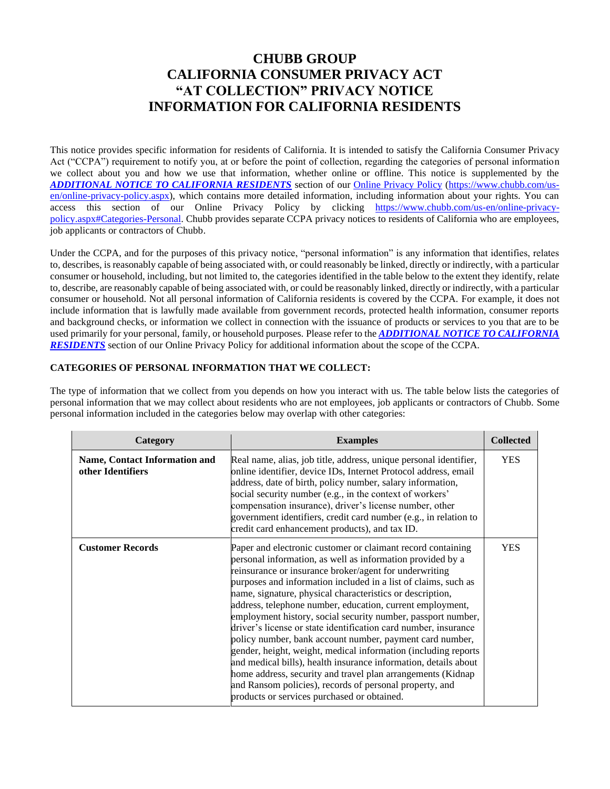# **CHUBB GROUP CALIFORNIA CONSUMER PRIVACY ACT "AT COLLECTION" PRIVACY NOTICE INFORMATION FOR CALIFORNIA RESIDENTS**

This notice provides specific information for residents of California. It is intended to satisfy the California Consumer Privacy Act ("CCPA") requirement to notify you, at or before the point of collection, regarding the categories of personal information we collect about you and how we use that information, whether online or offline. This notice is supplemented by the *[ADDITIONAL NOTICE TO CALIFORNIA RESIDENTS](https://www.chubb.com/us-en/online-privacy-policy.aspx#CCPA-section)* section of our [Online Privacy Policy](https://www.chubb.com/us-en/online-privacy-policy.aspx) [\(https://www.chubb.com/us](https://www.chubb.com/us-en/online-privacy-policy.aspx)[en/online-privacy-policy.aspx\)](https://www.chubb.com/us-en/online-privacy-policy.aspx), which contains more detailed information, including information about your rights. You can access this section of our Online Privacy Policy by clicking [https://www.chubb.com/us-en/online-privacy](https://www.chubb.com/us-en/online-privacy-policy.aspx#Categories-Personal)[policy.aspx#Categories-Personal.](https://www.chubb.com/us-en/online-privacy-policy.aspx#Categories-Personal) Chubb provides separate CCPA privacy notices to residents of California who are employees, job applicants or contractors of Chubb.

Under the CCPA, and for the purposes of this privacy notice, "personal information" is any information that identifies, relates to, describes, is reasonably capable of being associated with, or could reasonably be linked, directly or indirectly, with a particular consumer or household, including, but not limited to, the categories identified in the table below to the extent they identify, relate to, describe, are reasonably capable of being associated with, or could be reasonably linked, directly or indirectly, with a particular consumer or household. Not all personal information of California residents is covered by the CCPA. For example, it does not include information that is lawfully made available from government records, protected health information, consumer reports and background checks, or information we collect in connection with the issuance of products or services to you that are to be used primarily for your personal, family, or household purposes. Please refer to the *[ADDITIONAL NOTICE TO CALIFORNIA](https://www.chubb.com/us-en/online-privacy-policy.aspx#CCPA-section)  [RESIDENTS](https://www.chubb.com/us-en/online-privacy-policy.aspx#CCPA-section)* section of our Online Privacy Policy for additional information about the scope of the CCPA.

# **CATEGORIES OF PERSONAL INFORMATION THAT WE COLLECT:**

The type of information that we collect from you depends on how you interact with us. The table below lists the categories of personal information that we may collect about residents who are not employees, job applicants or contractors of Chubb. Some personal information included in the categories below may overlap with other categories:

| Category                                           | <b>Examples</b>                                                                                                                                                                                                                                                                                                                                                                                                                                                                                                                                                                                                                                                                                                                                                                                                                                                                              | <b>Collected</b> |
|----------------------------------------------------|----------------------------------------------------------------------------------------------------------------------------------------------------------------------------------------------------------------------------------------------------------------------------------------------------------------------------------------------------------------------------------------------------------------------------------------------------------------------------------------------------------------------------------------------------------------------------------------------------------------------------------------------------------------------------------------------------------------------------------------------------------------------------------------------------------------------------------------------------------------------------------------------|------------------|
| Name, Contact Information and<br>other Identifiers | Real name, alias, job title, address, unique personal identifier,<br>online identifier, device IDs, Internet Protocol address, email<br>address, date of birth, policy number, salary information,<br>social security number (e.g., in the context of workers'<br>compensation insurance), driver's license number, other<br>government identifiers, credit card number (e.g., in relation to<br>credit card enhancement products), and tax ID.                                                                                                                                                                                                                                                                                                                                                                                                                                              | <b>YES</b>       |
| <b>Customer Records</b>                            | Paper and electronic customer or claimant record containing<br>personal information, as well as information provided by a<br>reinsurance or insurance broker/agent for underwriting<br>purposes and information included in a list of claims, such as<br>name, signature, physical characteristics or description,<br>address, telephone number, education, current employment,<br>employment history, social security number, passport number,<br>driver's license or state identification card number, insurance<br>policy number, bank account number, payment card number,<br>gender, height, weight, medical information (including reports<br>and medical bills), health insurance information, details about<br>home address, security and travel plan arrangements (Kidnap<br>and Ransom policies), records of personal property, and<br>products or services purchased or obtained. | <b>YES</b>       |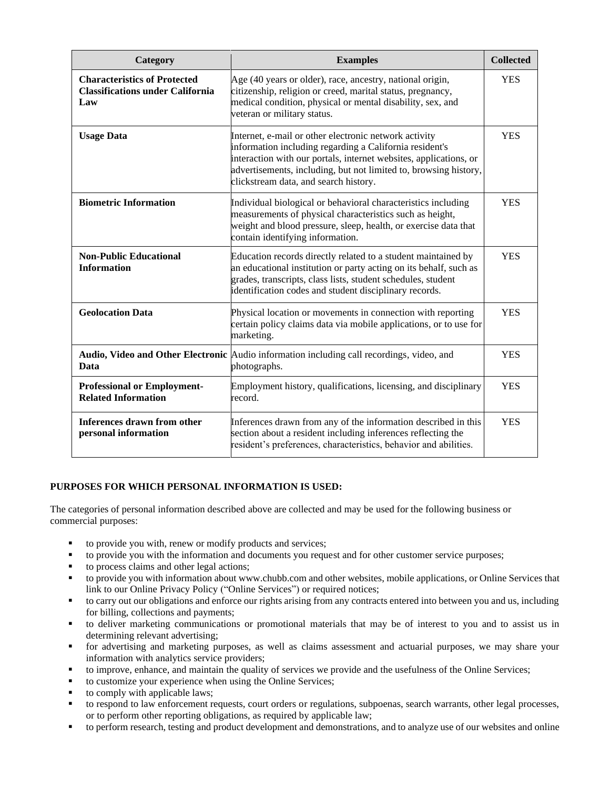| Category                                                                              | <b>Examples</b>                                                                                                                                                                                                                                                                                    | <b>Collected</b> |
|---------------------------------------------------------------------------------------|----------------------------------------------------------------------------------------------------------------------------------------------------------------------------------------------------------------------------------------------------------------------------------------------------|------------------|
| <b>Characteristics of Protected</b><br><b>Classifications under California</b><br>Law | Age (40 years or older), race, ancestry, national origin,<br>citizenship, religion or creed, marital status, pregnancy,<br>medical condition, physical or mental disability, sex, and<br>veteran or military status.                                                                               | <b>YES</b>       |
| <b>Usage Data</b>                                                                     | Internet, e-mail or other electronic network activity<br>information including regarding a California resident's<br>interaction with our portals, internet websites, applications, or<br>advertisements, including, but not limited to, browsing history,<br>clickstream data, and search history. | <b>YES</b>       |
| <b>Biometric Information</b>                                                          | Individual biological or behavioral characteristics including<br>measurements of physical characteristics such as height,<br>weight and blood pressure, sleep, health, or exercise data that<br>contain identifying information.                                                                   | <b>YES</b>       |
| <b>Non-Public Educational</b><br><b>Information</b>                                   | Education records directly related to a student maintained by<br>an educational institution or party acting on its behalf, such as<br>grades, transcripts, class lists, student schedules, student<br>identification codes and student disciplinary records.                                       | <b>YES</b>       |
| <b>Geolocation Data</b>                                                               | Physical location or movements in connection with reporting<br>certain policy claims data via mobile applications, or to use for<br>marketing.                                                                                                                                                     | <b>YES</b>       |
| Data                                                                                  | Audio, Video and Other Electronic Audio information including call recordings, video, and<br>photographs.                                                                                                                                                                                          | <b>YES</b>       |
| <b>Professional or Employment-</b><br><b>Related Information</b>                      | Employment history, qualifications, licensing, and disciplinary<br>record.                                                                                                                                                                                                                         | <b>YES</b>       |
| <b>Inferences drawn from other</b><br>personal information                            | Inferences drawn from any of the information described in this<br>section about a resident including inferences reflecting the<br>resident's preferences, characteristics, behavior and abilities.                                                                                                 | <b>YES</b>       |

## **PURPOSES FOR WHICH PERSONAL INFORMATION IS USED:**

The categories of personal information described above are collected and may be used for the following business or commercial purposes:

- to provide you with, renew or modify products and services;
- to provide you with the information and documents you request and for other customer service purposes;
- to process claims and other legal actions;
- to provide you with information about www.chubb.com and other websites, mobile applications, or Online Services that link to our Online Privacy Policy ("Online Services") or required notices;
- to carry out our obligations and enforce our rights arising from any contracts entered into between you and us, including for billing, collections and payments;
- to deliver marketing communications or promotional materials that may be of interest to you and to assist us in determining relevant advertising;
- for advertising and marketing purposes, as well as claims assessment and actuarial purposes, we may share your information with analytics service providers;
- to improve, enhance, and maintain the quality of services we provide and the usefulness of the Online Services;
- to customize your experience when using the Online Services;
- to comply with applicable laws;
- to respond to law enforcement requests, court orders or regulations, subpoenas, search warrants, other legal processes, or to perform other reporting obligations, as required by applicable law;
- to perform research, testing and product development and demonstrations, and to analyze use of our websites and online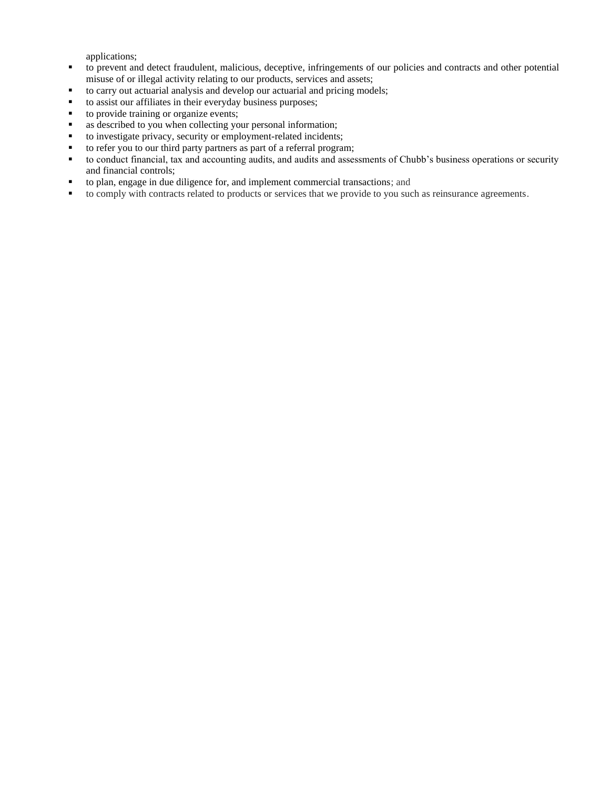applications;

- to prevent and detect fraudulent, malicious, deceptive, infringements of our policies and contracts and other potential misuse of or illegal activity relating to our products, services and assets;
- to carry out actuarial analysis and develop our actuarial and pricing models;
- to assist our affiliates in their everyday business purposes;
- to provide training or organize events;
- as described to you when collecting your personal information;
- to investigate privacy, security or employment-related incidents;
- to refer you to our third party partners as part of a referral program;
- to conduct financial, tax and accounting audits, and audits and assessments of Chubb's business operations or security and financial controls;
- to plan, engage in due diligence for, and implement commercial transactions; and
- to comply with contracts related to products or services that we provide to you such as reinsurance agreements.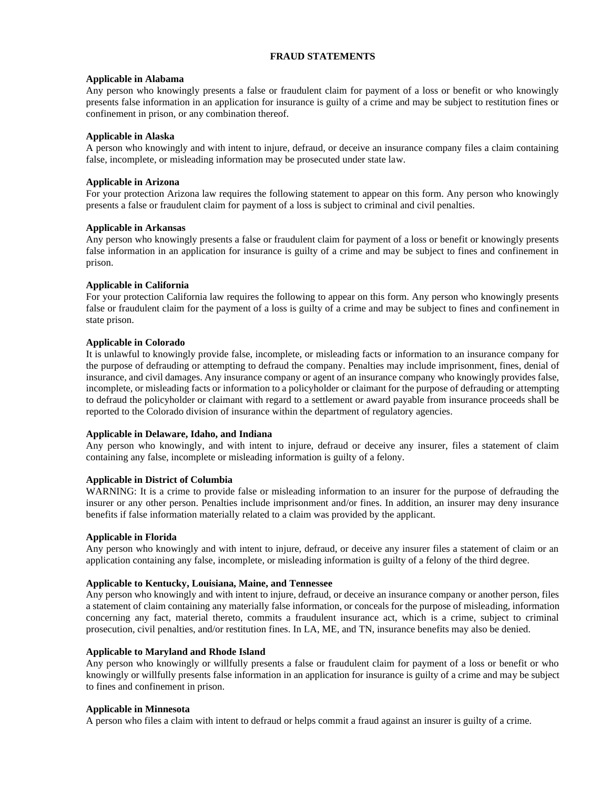## **FRAUD STATEMENTS**

#### **Applicable in Alabama**

Any person who knowingly presents a false or fraudulent claim for payment of a loss or benefit or who knowingly presents false information in an application for insurance is guilty of a crime and may be subject to restitution fines or confinement in prison, or any combination thereof.

#### **Applicable in Alaska**

A person who knowingly and with intent to injure, defraud, or deceive an insurance company files a claim containing false, incomplete, or misleading information may be prosecuted under state law.

## **Applicable in Arizona**

For your protection Arizona law requires the following statement to appear on this form. Any person who knowingly presents a false or fraudulent claim for payment of a loss is subject to criminal and civil penalties.

#### **Applicable in Arkansas**

Any person who knowingly presents a false or fraudulent claim for payment of a loss or benefit or knowingly presents false information in an application for insurance is guilty of a crime and may be subject to fines and confinement in prison.

## **Applicable in California**

For your protection California law requires the following to appear on this form. Any person who knowingly presents false or fraudulent claim for the payment of a loss is guilty of a crime and may be subject to fines and confinement in state prison.

## **Applicable in Colorado**

It is unlawful to knowingly provide false, incomplete, or misleading facts or information to an insurance company for the purpose of defrauding or attempting to defraud the company. Penalties may include imprisonment, fines, denial of insurance, and civil damages. Any insurance company or agent of an insurance company who knowingly provides false, incomplete, or misleading facts or information to a policyholder or claimant for the purpose of defrauding or attempting to defraud the policyholder or claimant with regard to a settlement or award payable from insurance proceeds shall be reported to the Colorado division of insurance within the department of regulatory agencies.

#### **Applicable in Delaware, Idaho, and Indiana**

Any person who knowingly, and with intent to injure, defraud or deceive any insurer, files a statement of claim containing any false, incomplete or misleading information is guilty of a felony.

#### **Applicable in District of Columbia**

WARNING: It is a crime to provide false or misleading information to an insurer for the purpose of defrauding the insurer or any other person. Penalties include imprisonment and/or fines. In addition, an insurer may deny insurance benefits if false information materially related to a claim was provided by the applicant.

#### **Applicable in Florida**

Any person who knowingly and with intent to injure, defraud, or deceive any insurer files a statement of claim or an application containing any false, incomplete, or misleading information is guilty of a felony of the third degree.

#### **Applicable to Kentucky, Louisiana, Maine, and Tennessee**

Any person who knowingly and with intent to injure, defraud, or deceive an insurance company or another person, files a statement of claim containing any materially false information, or conceals for the purpose of misleading, information concerning any fact, material thereto, commits a fraudulent insurance act, which is a crime, subject to criminal prosecution, civil penalties, and/or restitution fines. In LA, ME, and TN, insurance benefits may also be denied.

#### **Applicable to Maryland and Rhode Island**

Any person who knowingly or willfully presents a false or fraudulent claim for payment of a loss or benefit or who knowingly or willfully presents false information in an application for insurance is guilty of a crime and may be subject to fines and confinement in prison.

#### **Applicable in Minnesota**

A person who files a claim with intent to defraud or helps commit a fraud against an insurer is guilty of a crime.